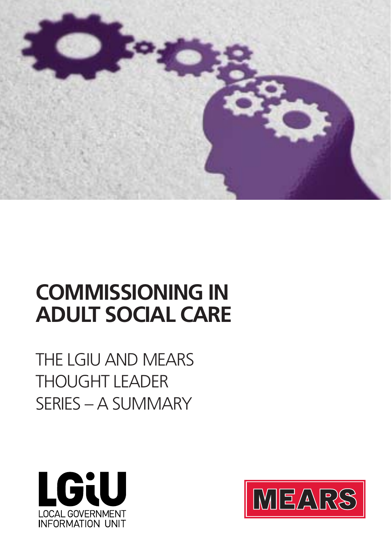

# **COMMISSIONING IN ADULT SOCIAL CARE**

THE LGIU AND MEARS THOUGHT LEADER SERIES – A SUMMARY



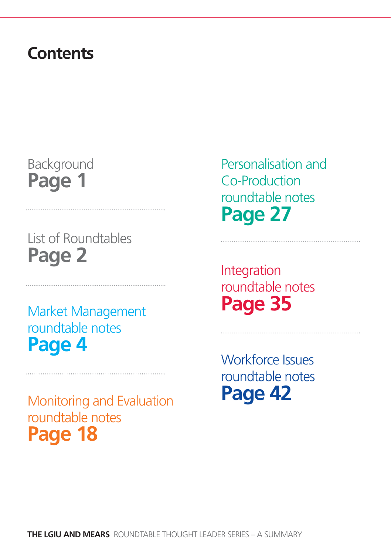# **Contents**

# Background **Page 1**

List of Roundtables **Page 2**

Market Management roundtable notes **Page 4**

Monitoring and Evaluation roundtable notes **Page 18**

Personalisation and Co-Production roundtable notes **Page 27**

Integration roundtable notes **Page 35**

Workforce Issues roundtable notes **Page 42**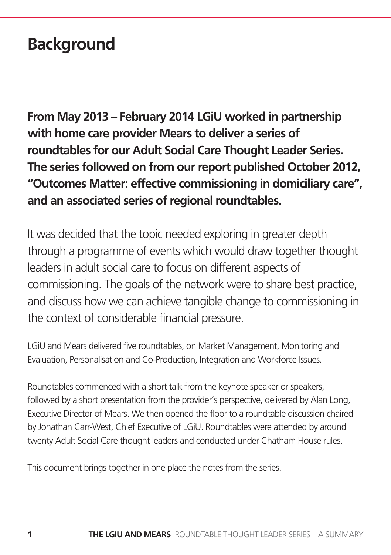# **Background**

**From May 2013 – February 2014 LGiU worked in partnership with home care provider Mears to deliver a series of roundtables for our Adult Social Care Thought Leader Series. The series followed on from our report published October 2012, "Outcomes Matter: effective commissioning in domiciliary care", and an associated series of regional roundtables.** 

It was decided that the topic needed exploring in greater depth through a programme of events which would draw together thought leaders in adult social care to focus on different aspects of commissioning. The goals of the network were to share best practice, and discuss how we can achieve tangible change to commissioning in the context of considerable financial pressure.

LGiU and Mears delivered five roundtables, on Market Management, Monitoring and Evaluation, Personalisation and Co-Production, Integration and Workforce Issues.

Roundtables commenced with a short talk from the keynote speaker or speakers, followed by a short presentation from the provider's perspective, delivered by Alan Long, Executive Director of Mears. We then opened the floor to a roundtable discussion chaired by Jonathan Carr-West, Chief Executive of LGiU. Roundtables were attended by around twenty Adult Social Care thought leaders and conducted under Chatham House rules.

This document brings together in one place the notes from the series.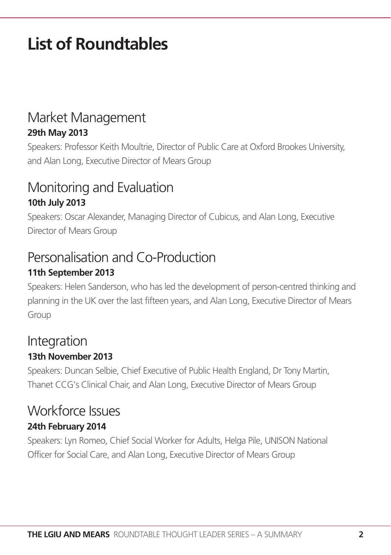# **List of Roundtables**

## Market Management **29th May 2013**

Speakers: Professor Keith Moultrie, Director of Public Care at Oxford Brookes University, and Alan Long, Executive Director of Mears Group

# Monitoring and Evaluation **10th July 2013**

Speakers: Oscar Alexander, Managing Director of Cubicus, and Alan Long, Executive Director of Mears Group

## Personalisation and Co-Production **11th September 2013**

Speakers: Helen Sanderson, who has led the development of person-centred thinking and planning in the UK over the last fifteen years, and Alan Long, Executive Director of Mears Group

## Integration **13th November 2013**

Speakers: Duncan Selbie, Chief Executive of Public Health England, Dr Tony Martin, Thanet CCG's Clinical Chair, and Alan Long, Executive Director of Mears Group

## Workforce Issues **24th February 2014**

Speakers: Lyn Romeo, Chief Social Worker for Adults, Helga Pile, UNISON National Officer for Social Care, and Alan Long, Executive Director of Mears Group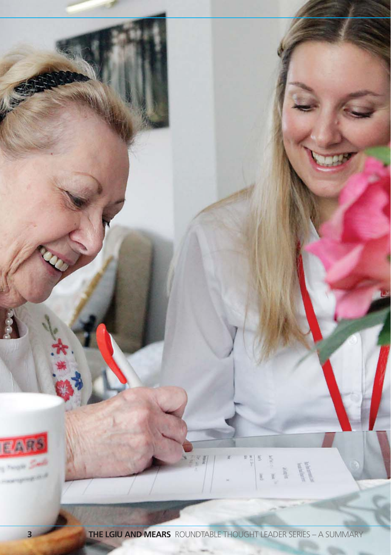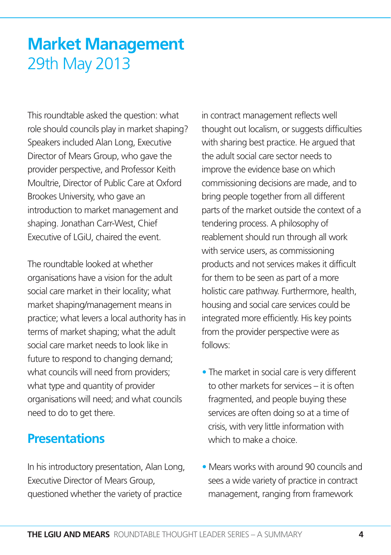# **Market Management** 29th May 2013

This roundtable asked the question: what role should councils play in market shaping? Speakers included Alan Long, Executive Director of Mears Group, who gave the provider perspective, and Professor Keith Moultrie, Director of Public Care at Oxford Brookes University, who gave an introduction to market management and shaping. Jonathan Carr-West, Chief Executive of LGiU, chaired the event.

The roundtable looked at whether organisations have a vision for the adult social care market in their locality; what market shaping/management means in practice; what levers a local authority has in terms of market shaping; what the adult social care market needs to look like in future to respond to changing demand; what councils will need from providers; what type and quantity of provider organisations will need; and what councils need to do to get there.

## **Presentations**

In his introductory presentation, Alan Long, Executive Director of Mears Group, questioned whether the variety of practice

in contract management reflects well thought out localism, or suggests difficulties with sharing best practice. He argued that the adult social care sector needs to improve the evidence base on which commissioning decisions are made, and to bring people together from all different parts of the market outside the context of a tendering process. A philosophy of reablement should run through all work with service users, as commissioning products and not services makes it difficult for them to be seen as part of a more holistic care pathway. Furthermore, health, housing and social care services could be integrated more efficiently. His key points from the provider perspective were as follows:

- The market in social care is very different to other markets for services – it is often fragmented, and people buying these services are often doing so at a time of crisis, with very little information with which to make a choice.
- Mears works with around 90 councils and sees a wide variety of practice in contract management, ranging from framework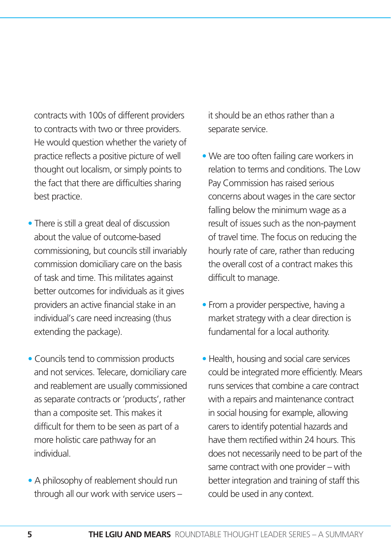contracts with 100s of different providers to contracts with two or three providers. He would question whether the variety of practice reflects a positive picture of well thought out localism, or simply points to the fact that there are difficulties sharing best practice.

- There is still a great deal of discussion about the value of outcome-based commissioning, but councils still invariably commission domiciliary care on the basis of task and time. This militates against better outcomes for individuals as it gives providers an active financial stake in an individual's care need increasing (thus extending the package).
- Councils tend to commission products and not services. Telecare, domiciliary care and reablement are usually commissioned as separate contracts or 'products', rather than a composite set. This makes it difficult for them to be seen as part of a more holistic care pathway for an individual.
- A philosophy of reablement should run through all our work with service users –

it should be an ethos rather than a separate service.

- We are too often failing care workers in relation to terms and conditions. The Low Pay Commission has raised serious concerns about wages in the care sector falling below the minimum wage as a result of issues such as the non-payment of travel time. The focus on reducing the hourly rate of care, rather than reducing the overall cost of a contract makes this difficult to manage.
- From a provider perspective, having a market strategy with a clear direction is fundamental for a local authority.
- Health, housing and social care services could be integrated more efficiently. Mears runs services that combine a care contract with a repairs and maintenance contract in social housing for example, allowing carers to identify potential hazards and have them rectified within 24 hours. This does not necessarily need to be part of the same contract with one provider – with better integration and training of staff this could be used in any context.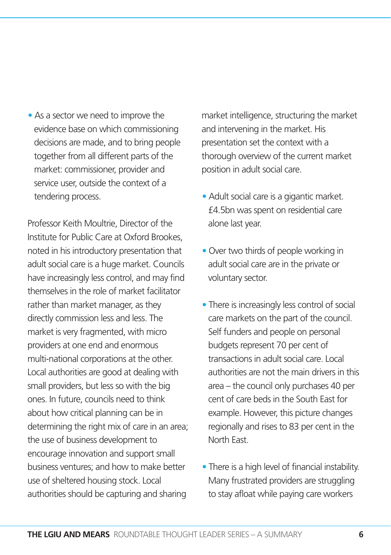• As a sector we need to improve the evidence base on which commissioning decisions are made, and to bring people together from all different parts of the market: commissioner, provider and service user, outside the context of a tendering process.

Professor Keith Moultrie, Director of the Institute for Public Care at Oxford Brookes, noted in his introductory presentation that adult social care is a huge market. Councils have increasingly less control, and may find themselves in the role of market facilitator rather than market manager, as they directly commission less and less. The market is very fragmented, with micro providers at one end and enormous multi-national corporations at the other. Local authorities are good at dealing with small providers, but less so with the big ones. In future, councils need to think about how critical planning can be in determining the right mix of care in an area; the use of business development to encourage innovation and support small business ventures; and how to make better use of sheltered housing stock. Local authorities should be capturing and sharing

market intelligence, structuring the market and intervening in the market. His presentation set the context with a thorough overview of the current market position in adult social care.

- Adult social care is a gigantic market. £4.5bn was spent on residential care alone last year.
- Over two thirds of people working in adult social care are in the private or voluntary sector.
- There is increasingly less control of social care markets on the part of the council. Self funders and people on personal budgets represent 70 per cent of transactions in adult social care. Local authorities are not the main drivers in this area – the council only purchases 40 per cent of care beds in the South East for example. However, this picture changes regionally and rises to 83 per cent in the North East.
- There is a high level of financial instability. Many frustrated providers are struggling to stay afloat while paying care workers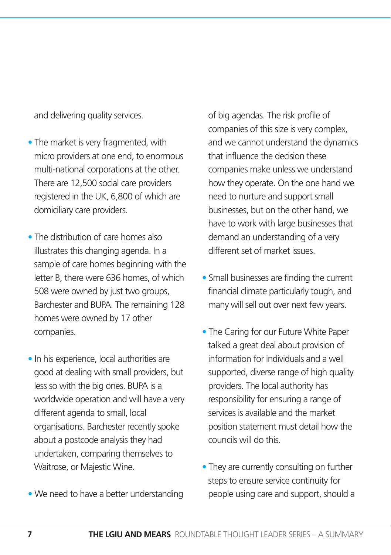and delivering quality services.

- The market is very fragmented, with micro providers at one end, to enormous multi-national corporations at the other. There are 12,500 social care providers registered in the UK, 6,800 of which are domiciliary care providers.
- The distribution of care homes also illustrates this changing agenda. In a sample of care homes beginning with the letter B, there were 636 homes, of which 508 were owned by just two groups, Barchester and BUPA. The remaining 128 homes were owned by 17 other companies.
- In his experience, local authorities are good at dealing with small providers, but less so with the big ones. BUPA is a worldwide operation and will have a very different agenda to small, local organisations. Barchester recently spoke about a postcode analysis they had undertaken, comparing themselves to Waitrose, or Majestic Wine.
- We need to have a better understanding

of big agendas. The risk profile of companies of this size is very complex, and we cannot understand the dynamics that influence the decision these companies make unless we understand how they operate. On the one hand we need to nurture and support small businesses, but on the other hand, we have to work with large businesses that demand an understanding of a very different set of market issues.

- Small businesses are finding the current financial climate particularly tough, and many will sell out over next few years.
- The Caring for our Future White Paper talked a great deal about provision of information for individuals and a well supported, diverse range of high quality providers. The local authority has responsibility for ensuring a range of services is available and the market position statement must detail how the councils will do this.
- They are currently consulting on further steps to ensure service continuity for people using care and support, should a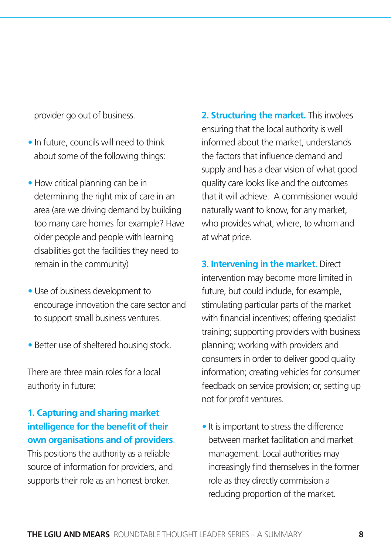provider go out of business.

- In future, councils will need to think about some of the following things:
- How critical planning can be in determining the right mix of care in an area (are we driving demand by building too many care homes for example? Have older people and people with learning disabilities got the facilities they need to remain in the community)
- Use of business development to encourage innovation the care sector and to support small business ventures.
- Better use of sheltered housing stock.

There are three main roles for a local authority in future:

## **1. Capturing and sharing market intelligence for the benefit of their own organisations and of providers**.

This positions the authority as a reliable source of information for providers, and supports their role as an honest broker.

**2. Structuring the market.** This involves ensuring that the local authority is well informed about the market, understands the factors that influence demand and supply and has a clear vision of what good quality care looks like and the outcomes that it will achieve. A commissioner would naturally want to know, for any market, who provides what, where, to whom and at what price.

**3. Intervening in the market.** Direct intervention may become more limited in future, but could include, for example, stimulating particular parts of the market with financial incentives; offering specialist training; supporting providers with business planning; working with providers and consumers in order to deliver good quality information; creating vehicles for consumer feedback on service provision; or, setting up not for profit ventures.

• It is important to stress the difference between market facilitation and market management. Local authorities may increasingly find themselves in the former role as they directly commission a reducing proportion of the market.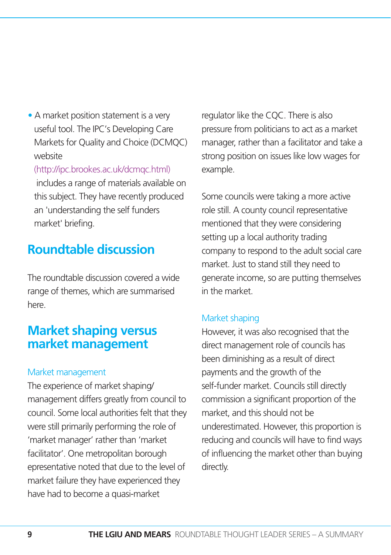• A market position statement is a very useful tool. The IPC's Developing Care Markets for Quality and Choice (DCMQC) website

[\(http://ipc.brookes.ac.uk/dcmqc.html\)](http://ipc.brookes.ac.uk/dcmqc.html) includes a range of materials available on this subject. They have recently produced an 'understanding the self funders market' briefing.

# **Roundtable discussion**

The roundtable discussion covered a wide range of themes, which are summarised here.

# **Market shaping versus market management**

## Market management

The experience of market shaping/ management differs greatly from council to council. Some local authorities felt that they were still primarily performing the role of 'market manager' rather than 'market facilitator'. One metropolitan borough epresentative noted that due to the level of market failure they have experienced they have had to become a quasi-market

regulator like the CQC. There is also pressure from politicians to act as a market manager, rather than a facilitator and take a strong position on issues like low wages for example.

Some councils were taking a more active role still. A county council representative mentioned that they were considering setting up a local authority trading company to respond to the adult social care market. Just to stand still they need to generate income, so are putting themselves in the market.

## Market shaping

However, it was also recognised that the direct management role of councils has been diminishing as a result of direct payments and the growth of the self-funder market. Councils still directly commission a significant proportion of the market, and this should not be underestimated. However, this proportion is reducing and councils will have to find ways of influencing the market other than buying directly.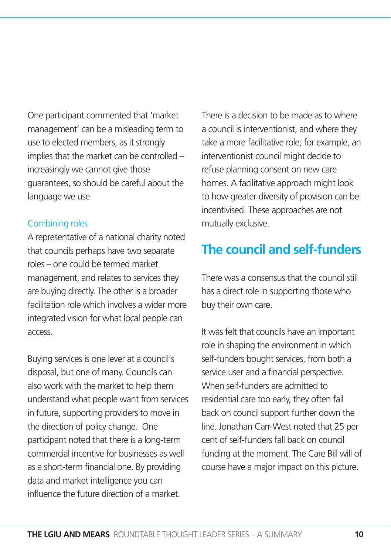One participant commented that 'market management' can be a misleading term to use to elected members, as it strongly implies that the market can be controlled – increasingly we cannot give those guarantees, so should be careful about the language we use.

#### Combining roles

A representative of a national charity noted that councils perhaps have two separate roles – one could be termed market management, and relates to services they are buying directly. The other is a broader facilitation role which involves a wider more integrated vision for what local people can access.

Buying services is one lever at a council's disposal, but one of many. Councils can also work with the market to help them understand what people want from services in future, supporting providers to move in the direction of policy change. One participant noted that there is a long-term commercial incentive for businesses as well as a short-term financial one. By providing data and market intelligence you can influence the future direction of a market.

There is a decision to be made as to where a council is interventionist, and where they take a more facilitative role; for example, an interventionist council might decide to refuse planning consent on new care homes. A facilitative approach might look to how greater diversity of provision can be incentivised. These approaches are not mutually exclusive.

# **The council and self-funders**

There was a consensus that the council still has a direct role in supporting those who buy their own care.

It was felt that councils have an important role in shaping the environment in which self-funders bought services, from both a service user and a financial perspective. When self-funders are admitted to residential care too early, they often fall back on council support further down the line. Jonathan Carr-West noted that 25 per cent of self-funders fall back on council funding at the moment. The Care Bill will of course have a major impact on this picture.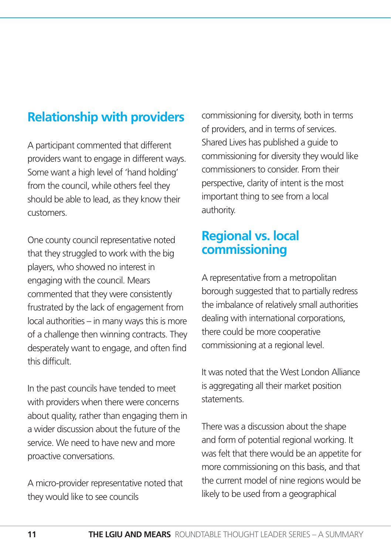# **Relationship with providers**

A participant commented that different providers want to engage in different ways. Some want a high level of 'hand holding' from the council, while others feel they should be able to lead, as they know their customers.

One county council representative noted that they struggled to work with the big players, who showed no interest in engaging with the council. Mears commented that they were consistently frustrated by the lack of engagement from local authorities – in many ways this is more of a challenge then winning contracts. They desperately want to engage, and often find this difficult.

In the past councils have tended to meet with providers when there were concerns about quality, rather than engaging them in a wider discussion about the future of the service. We need to have new and more proactive conversations.

A micro-provider representative noted that they would like to see councils

commissioning for diversity, both in terms of providers, and in terms of services. Shared Lives has published a guide to commissioning for diversity they would like commissioners to consider. From their perspective, clarity of intent is the most important thing to see from a local authority.

## **Regional vs. local commissioning**

A representative from a metropolitan borough suggested that to partially redress the imbalance of relatively small authorities dealing with international corporations, there could be more cooperative commissioning at a regional level.

It was noted that the West London Alliance is aggregating all their market position statements.

There was a discussion about the shape and form of potential regional working. It was felt that there would be an appetite for more commissioning on this basis, and that the current model of nine regions would be likely to be used from a geographical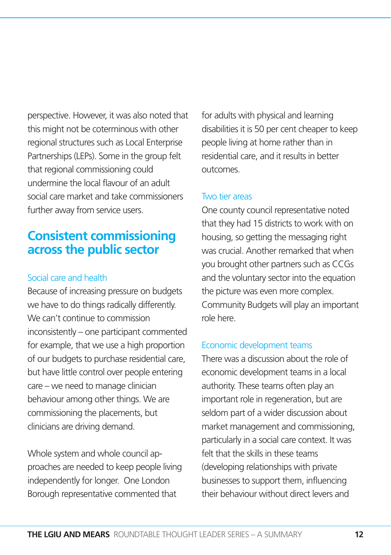perspective. However, it was also noted that this might not be coterminous with other regional structures such as Local Enterprise Partnerships (LEPs). Some in the group felt that regional commissioning could undermine the local flavour of an adult social care market and take commissioners further away from service users.

## **Consistent commissioning across the public sector**

## Social care and health

Because of increasing pressure on budgets we have to do things radically differently. We can't continue to commission inconsistently – one participant commented for example, that we use a high proportion of our budgets to purchase residential care, but have little control over people entering care – we need to manage clinician behaviour among other things. We are commissioning the placements, but clinicians are driving demand.

Whole system and whole council approaches are needed to keep people living independently for longer. One London Borough representative commented that

for adults with physical and learning disabilities it is 50 per cent cheaper to keep people living at home rather than in residential care, and it results in better outcomes.

### Two tier areas

One county council representative noted that they had 15 districts to work with on housing, so getting the messaging right was crucial. Another remarked that when you brought other partners such as CCGs and the voluntary sector into the equation the picture was even more complex. Community Budgets will play an important role here.

## Economic development teams

There was a discussion about the role of economic development teams in a local authority. These teams often play an important role in regeneration, but are seldom part of a wider discussion about market management and commissioning, particularly in a social care context. It was felt that the skills in these teams (developing relationships with private businesses to support them, influencing their behaviour without direct levers and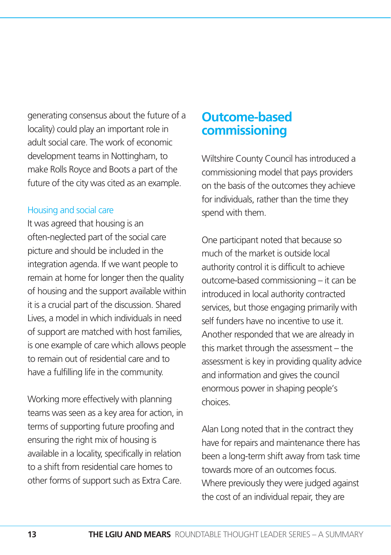generating consensus about the future of a locality) could play an important role in adult social care. The work of economic development teams in Nottingham, to make Rolls Royce and Boots a part of the future of the city was cited as an example.

## Housing and social care

It was agreed that housing is an often-neglected part of the social care picture and should be included in the integration agenda. If we want people to remain at home for longer then the quality of housing and the support available within it is a crucial part of the discussion. Shared Lives, a model in which individuals in need of support are matched with host families, is one example of care which allows people to remain out of residential care and to have a fulfilling life in the community.

Working more effectively with planning teams was seen as a key area for action, in terms of supporting future proofing and ensuring the right mix of housing is available in a locality, specifically in relation to a shift from residential care homes to other forms of support such as Extra Care.

## **Outcome-based commissioning**

Wiltshire County Council has introduced a commissioning model that pays providers on the basis of the outcomes they achieve for individuals, rather than the time they spend with them.

One participant noted that because so much of the market is outside local authority control it is difficult to achieve outcome-based commissioning – it can be introduced in local authority contracted services, but those engaging primarily with self funders have no incentive to use it. Another responded that we are already in this market through the assessment – the assessment is key in providing quality advice and information and gives the council enormous power in shaping people's choices.

Alan Long noted that in the contract they have for repairs and maintenance there has been a long-term shift away from task time towards more of an outcomes focus. Where previously they were judged against the cost of an individual repair, they are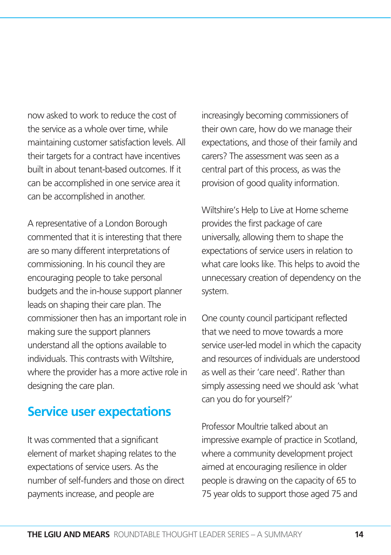now asked to work to reduce the cost of the service as a whole over time, while maintaining customer satisfaction levels. All their targets for a contract have incentives built in about tenant-based outcomes. If it can be accomplished in one service area it can be accomplished in another.

A representative of a London Borough commented that it is interesting that there are so many different interpretations of commissioning. In his council they are encouraging people to take personal budgets and the in-house support planner leads on shaping their care plan. The commissioner then has an important role in making sure the support planners understand all the options available to individuals. This contrasts with Wiltshire, where the provider has a more active role in designing the care plan.

## **Service user expectations**

It was commented that a significant element of market shaping relates to the expectations of service users. As the number of self-funders and those on direct payments increase, and people are

increasingly becoming commissioners of their own care, how do we manage their expectations, and those of their family and carers? The assessment was seen as a central part of this process, as was the provision of good quality information.

Wiltshire's Help to Live at Home scheme provides the first package of care universally, allowing them to shape the expectations of service users in relation to what care looks like. This helps to avoid the unnecessary creation of dependency on the system.

One county council participant reflected that we need to move towards a more service user-led model in which the capacity and resources of individuals are understood as well as their 'care need'. Rather than simply assessing need we should ask 'what can you do for yourself?'

Professor Moultrie talked about an impressive example of practice in Scotland, where a community development project aimed at encouraging resilience in older people is drawing on the capacity of 65 to 75 year olds to support those aged 75 and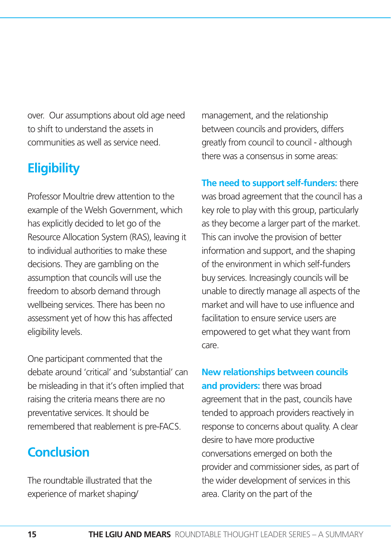over. Our assumptions about old age need to shift to understand the assets in communities as well as service need.

# **Eligibility**

Professor Moultrie drew attention to the example of the Welsh Government, which has explicitly decided to let go of the Resource Allocation System (RAS), leaving it to individual authorities to make these decisions. They are gambling on the assumption that councils will use the freedom to absorb demand through wellbeing services. There has been no assessment yet of how this has affected eligibility levels.

One participant commented that the debate around 'critical' and 'substantial' can be misleading in that it's often implied that raising the criteria means there are no preventative services. It should be remembered that reablement is pre-FACS.

# **Conclusion**

The roundtable illustrated that the experience of market shaping/

management, and the relationship between councils and providers, differs greatly from council to council - although there was a consensus in some areas:

**The need to support self-funders:** there was broad agreement that the council has a key role to play with this group, particularly as they become a larger part of the market. This can involve the provision of better information and support, and the shaping of the environment in which self-funders buy services. Increasingly councils will be unable to directly manage all aspects of the market and will have to use influence and facilitation to ensure service users are empowered to get what they want from care.

**New relationships between councils and providers:** there was broad agreement that in the past, councils have tended to approach providers reactively in response to concerns about quality. A clear desire to have more productive conversations emerged on both the provider and commissioner sides, as part of the wider development of services in this area. Clarity on the part of the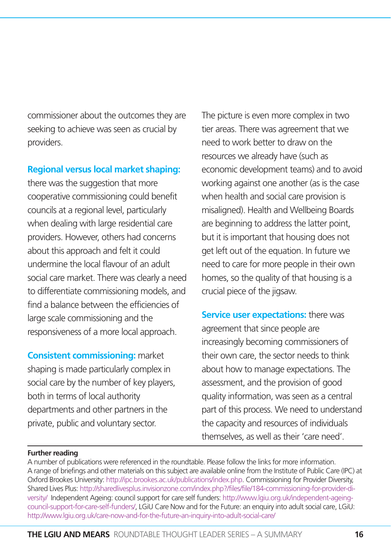commissioner about the outcomes they are seeking to achieve was seen as crucial by providers.

## **Regional versus local market shaping:**

there was the suggestion that more cooperative commissioning could benefit councils at a regional level, particularly when dealing with large residential care providers. However, others had concerns about this approach and felt it could undermine the local flavour of an adult social care market. There was clearly a need to differentiate commissioning models, and find a balance between the efficiencies of large scale commissioning and the responsiveness of a more local approach.

**Consistent commissioning:** market shaping is made particularly complex in social care by the number of key players, both in terms of local authority departments and other partners in the private, public and voluntary sector.

The picture is even more complex in two tier areas. There was agreement that we need to work better to draw on the resources we already have (such as economic development teams) and to avoid working against one another (as is the case when health and social care provision is misaligned). Health and Wellbeing Boards are beginning to address the latter point, but it is important that housing does not get left out of the equation. In future we need to care for more people in their own homes, so the quality of that housing is a crucial piece of the jigsaw.

**Service user expectations:** there was agreement that since people are increasingly becoming commissioners of their own care, the sector needs to think about how to manage expectations. The assessment, and the provision of good quality information, was seen as a central part of this process. We need to understand the capacity and resources of individuals themselves, as well as their 'care need'.

#### **Further reading**

A number of publications were referenced in the roundtable. Please follow the links for more information. A range of briefings and other materials on this subject are available online from the Institute of Public Care (IPC) at Oxford Brookes University: [http://ipc.brookes.ac.uk/publications/index.php.](http://ipc.brookes.ac.uk/publications/index.php) Commissioning for Provider Diversity, [Shared Lives Plus: http://sharedlivesplus.invisionzone.com/index.php?/files/file/184-commissioning-for-provider-di](http://sharedlivesplus.invisionzone.com/index.php?/files/file/184-commissioning-for-provider-di-versity/Independent)versity/ [Independent Ag](http://sharedlivesplus.invisionzone.com/index.php?/files/file/184-commissioning-for-provider-di-versity/Independent)eing: council support for care self funders: [http://www.lgiu.org.uk/independent-age](http://www.lgiu.org.uk/independent-ageing-council-support-for-care-self-funders)ing[council-support-for-care-self-funders/, LGiU Care Now and for the Future: an enquiry into adult social care, LGiU:](http://www.lgiu.org.uk/independent-ageing-council-support-for-care-self-funders) [http://www.lgiu.org.uk/care-now-and-for-the-future-an-inquiry-into-adult-social-care/](http://www.lgiu.org.uk/care-now-and-for-the-future-an-inquiry-into-adult-social-care)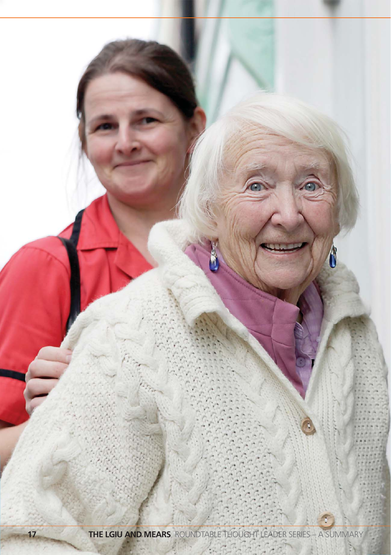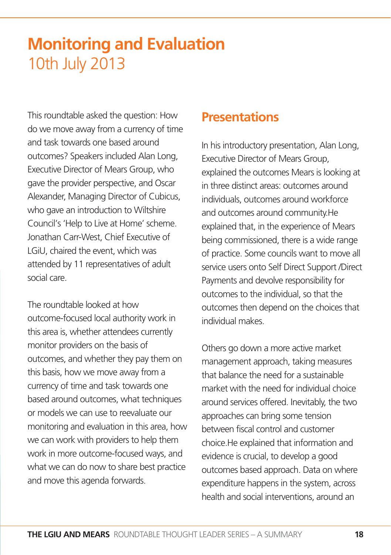# **Monitoring and Evaluation** 10th July 2013

This roundtable asked the question: How do we move away from a currency of time and task towards one based around outcomes? Speakers included Alan Long, Executive Director of Mears Group, who gave the provider perspective, and Oscar Alexander, Managing Director of Cubicus, who gave an introduction to Wiltshire Council's 'Help to Live at Home' scheme. Jonathan Carr-West, Chief Executive of LGiU, chaired the event, which was attended by 11 representatives of adult social care.

The roundtable looked at how outcome-focused local authority work in this area is, whether attendees currently monitor providers on the basis of outcomes, and whether they pay them on this basis, how we move away from a currency of time and task towards one based around outcomes, what techniques or models we can use to reevaluate our monitoring and evaluation in this area, how we can work with providers to help them work in more outcome-focused ways, and what we can do now to share best practice and move this agenda forwards.

# **Presentations**

In his introductory presentation, Alan Long, Executive Director of Mears Group, explained the outcomes Mears is looking at in three distinct areas: outcomes around individuals, outcomes around workforce and outcomes around community.He explained that, in the experience of Mears being commissioned, there is a wide range of practice. Some councils want to move all service users onto Self Direct Support /Direct Payments and devolve responsibility for outcomes to the individual, so that the outcomes then depend on the choices that individual makes.

Others go down a more active market management approach, taking measures that balance the need for a sustainable market with the need for individual choice around services offered. Inevitably, the two approaches can bring some tension between fiscal control and customer choice.He explained that information and evidence is crucial, to develop a good outcomes based approach. Data on where expenditure happens in the system, across health and social interventions, around an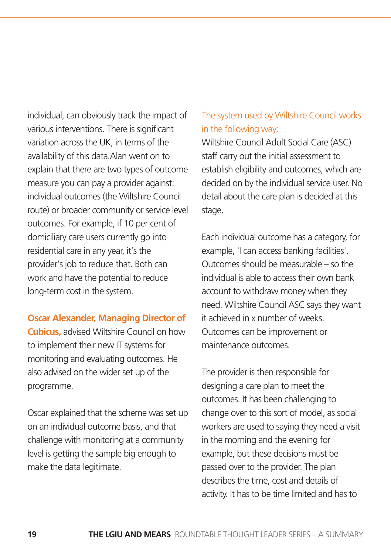individual, can obviously track the impact of various interventions. There is significant variation across the UK, in terms of the availability of this data.Alan went on to explain that there are two types of outcome measure you can pay a provider against: individual outcomes (the Wiltshire Council route) or broader community or service level outcomes. For example, if 10 per cent of domiciliary care users currently go into residential care in any year, it's the provider's job to reduce that. Both can work and have the potential to reduce long-term cost in the system.

### **Oscar Alexander, Managing Director of**

**Cubicus,** advised Wiltshire Council on how to implement their new IT systems for monitoring and evaluating outcomes. He also advised on the wider set up of the programme.

Oscar explained that the scheme was set up on an individual outcome basis, and that challenge with monitoring at a community level is getting the sample big enough to make the data legitimate.

## The system used by Wiltshire Council works in the following way:

Wiltshire Council Adult Social Care (ASC) staff carry out the initial assessment to establish eligibility and outcomes, which are decided on by the individual service user. No detail about the care plan is decided at this stage.

Each individual outcome has a category, for example, 'I can access banking facilities'. Outcomes should be measurable – so the individual is able to access their own bank account to withdraw money when they need. Wiltshire Council ASC says they want it achieved in x number of weeks. Outcomes can be improvement or maintenance outcomes.

The provider is then responsible for designing a care plan to meet the outcomes. It has been challenging to change over to this sort of model, as social workers are used to saying they need a visit in the morning and the evening for example, but these decisions must be passed over to the provider. The plan describes the time, cost and details of activity. It has to be time limited and has to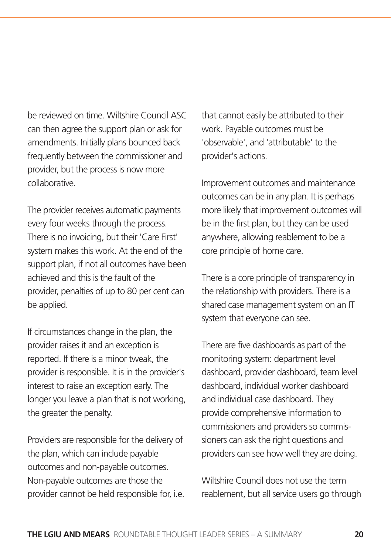be reviewed on time. Wiltshire Council ASC can then agree the support plan or ask for amendments. Initially plans bounced back frequently between the commissioner and provider, but the process is now more collaborative.

The provider receives automatic payments every four weeks through the process. There is no invoicing, but their 'Care First' system makes this work. At the end of the support plan, if not all outcomes have been achieved and this is the fault of the provider, penalties of up to 80 per cent can be applied.

If circumstances change in the plan, the provider raises it and an exception is reported. If there is a minor tweak, the provider is responsible. It is in the provider's interest to raise an exception early. The longer you leave a plan that is not working, the greater the penalty.

Providers are responsible for the delivery of the plan, which can include payable outcomes and non-payable outcomes. Non-payable outcomes are those the provider cannot be held responsible for, i.e. that cannot easily be attributed to their work. Payable outcomes must be 'observable', and 'attributable' to the provider's actions.

Improvement outcomes and maintenance outcomes can be in any plan. It is perhaps more likely that improvement outcomes will be in the first plan, but they can be used anywhere, allowing reablement to be a core principle of home care.

There is a core principle of transparency in the relationship with providers. There is a shared case management system on an IT system that everyone can see.

There are five dashboards as part of the monitoring system: department level dashboard, provider dashboard, team level dashboard, individual worker dashboard and individual case dashboard. They provide comprehensive information to commissioners and providers so commissioners can ask the right questions and providers can see how well they are doing.

Wiltshire Council does not use the term reablement, but all service users go through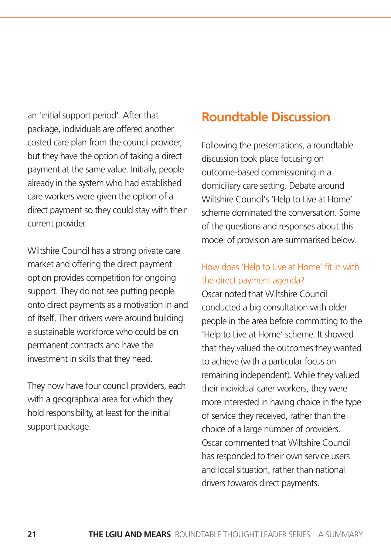an 'initial support period'. After that package, individuals are offered another costed care plan from the council provider, but they have the option of taking a direct payment at the same value. Initially, people already in the system who had established care workers were given the option of a direct payment so they could stay with their current provider.

Wiltshire Council has a strong private care market and offering the direct payment option provides competition for ongoing support. They do not see putting people onto direct payments as a motivation in and of itself. Their drivers were around building a sustainable workforce who could be on permanent contracts and have the investment in skills that they need.

They now have four council providers, each with a geographical area for which they hold responsibility, at least for the initial support package.

# **Roundtable Discussion**

Following the presentations, a roundtable discussion took place focusing on outcome-based commissioning in a domiciliary care setting. Debate around Wiltshire Council's 'Help to Live at Home' scheme dominated the conversation. Some of the questions and responses about this model of provision are summarised below.

## How does 'Help to Live at Home' fit in with the direct payment agenda?

Oscar noted that Wiltshire Council conducted a big consultation with older people in the area before committing to the 'Help to Live at Home' scheme. It showed that they valued the outcomes they wanted to achieve (with a particular focus on remaining independent). While they valued their individual carer workers, they were more interested in having choice in the type of service they received, rather than the choice of a large number of providers. Oscar commented that Wiltshire Council has responded to their own service users and local situation, rather than national drivers towards direct payments.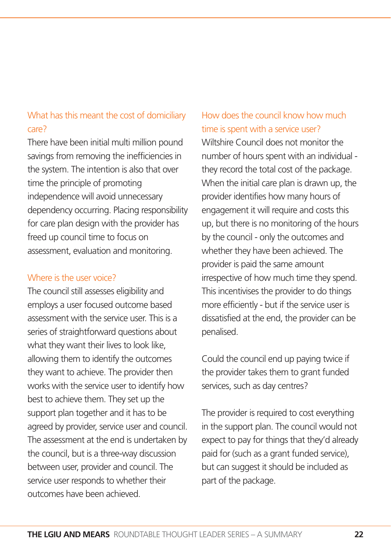## What has this meant the cost of domiciliary care?

There have been initial multi million pound savings from removing the inefficiencies in the system. The intention is also that over time the principle of promoting independence will avoid unnecessary dependency occurring. Placing responsibility for care plan design with the provider has freed up council time to focus on assessment, evaluation and monitoring.

### Where is the user voice?

The council still assesses eligibility and employs a user focused outcome based assessment with the service user. This is a series of straightforward questions about what they want their lives to look like, allowing them to identify the outcomes they want to achieve. The provider then works with the service user to identify how best to achieve them. They set up the support plan together and it has to be agreed by provider, service user and council. The assessment at the end is undertaken by the council, but is a three-way discussion between user, provider and council. The service user responds to whether their outcomes have been achieved.

## How does the council know how much time is spent with a service user?

Wiltshire Council does not monitor the number of hours spent with an individual they record the total cost of the package. When the initial care plan is drawn up, the provider identifies how many hours of engagement it will require and costs this up, but there is no monitoring of the hours by the council - only the outcomes and whether they have been achieved. The provider is paid the same amount irrespective of how much time they spend. This incentivises the provider to do things more efficiently - but if the service user is dissatisfied at the end, the provider can be penalised.

Could the council end up paying twice if the provider takes them to grant funded services, such as day centres?

The provider is required to cost everything in the support plan. The council would not expect to pay for things that they'd already paid for (such as a grant funded service), but can suggest it should be included as part of the package.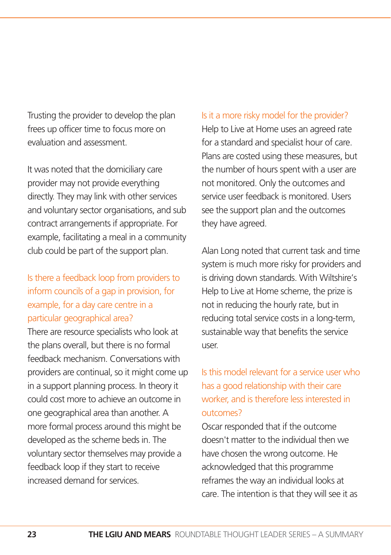Trusting the provider to develop the plan frees up officer time to focus more on evaluation and assessment.

It was noted that the domiciliary care provider may not provide everything directly. They may link with other services and voluntary sector organisations, and sub contract arrangements if appropriate. For example, facilitating a meal in a community club could be part of the support plan.

## Is there a feedback loop from providers to inform councils of a gap in provision, for example, for a day care centre in a particular geographical area?

There are resource specialists who look at the plans overall, but there is no formal feedback mechanism. Conversations with providers are continual, so it might come up in a support planning process. In theory it could cost more to achieve an outcome in one geographical area than another. A more formal process around this might be developed as the scheme beds in. The voluntary sector themselves may provide a feedback loop if they start to receive increased demand for services.

#### Is it a more risky model for the provider?

Help to Live at Home uses an agreed rate for a standard and specialist hour of care. Plans are costed using these measures, but the number of hours spent with a user are not monitored. Only the outcomes and service user feedback is monitored. Users see the support plan and the outcomes they have agreed.

Alan Long noted that current task and time system is much more risky for providers and is driving down standards. With Wiltshire's Help to Live at Home scheme, the prize is not in reducing the hourly rate, but in reducing total service costs in a long-term, sustainable way that benefits the service user.

## Is this model relevant for a service user who has a good relationship with their care worker, and is therefore less interested in outcomes?

Oscar responded that if the outcome doesn't matter to the individual then we have chosen the wrong outcome. He acknowledged that this programme reframes the way an individual looks at care. The intention is that they will see it as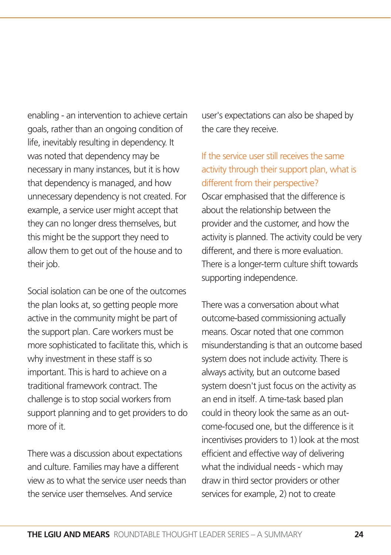enabling - an intervention to achieve certain goals, rather than an ongoing condition of life, inevitably resulting in dependency. It was noted that dependency may be necessary in many instances, but it is how that dependency is managed, and how unnecessary dependency is not created. For example, a service user might accept that they can no longer dress themselves, but this might be the support they need to allow them to get out of the house and to their job.

Social isolation can be one of the outcomes the plan looks at, so getting people more active in the community might be part of the support plan. Care workers must be more sophisticated to facilitate this, which is why investment in these staff is so important. This is hard to achieve on a traditional framework contract. The challenge is to stop social workers from support planning and to get providers to do more of it.

There was a discussion about expectations and culture. Families may have a different view as to what the service user needs than the service user themselves. And service

user's expectations can also be shaped by the care they receive.

If the service user still receives the same activity through their support plan, what is different from their perspective? Oscar emphasised that the difference is about the relationship between the provider and the customer, and how the activity is planned. The activity could be very different, and there is more evaluation. There is a longer-term culture shift towards supporting independence.

There was a conversation about what outcome-based commissioning actually means. Oscar noted that one common misunderstanding is that an outcome based system does not include activity. There is always activity, but an outcome based system doesn't just focus on the activity as an end in itself. A time-task based plan could in theory look the same as an outcome-focused one, but the difference is it incentivises providers to 1) look at the most efficient and effective way of delivering what the individual needs - which may draw in third sector providers or other services for example, 2) not to create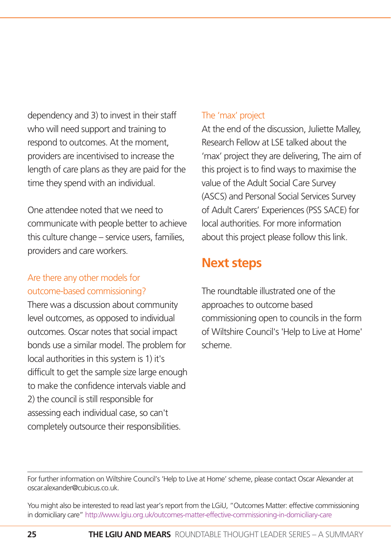dependency and 3) to invest in their staff who will need support and training to respond to outcomes. At the moment, providers are incentivised to increase the length of care plans as they are paid for the time they spend with an individual.

One attendee noted that we need to communicate with people better to achieve this culture change – service users, families, providers and care workers.

## Are there any other models for outcome-based commissioning?

There was a discussion about community level outcomes, as opposed to individual outcomes. Oscar notes that social impact bonds use a similar model. The problem for local authorities in this system is 1) it's difficult to get the sample size large enough to make the confidence intervals viable and 2) the council is still responsible for assessing each individual case, so can't completely outsource their responsibilities.

## The 'max' project

At the end of the discussion, Juliette Malley, Research Fellow at LSE talked about the 'max' project they are delivering, The aim of this project is to find ways to maximise the value of the Adult Social Care Survey (ASCS) and Personal Social Services Survey of Adult Carers' Experiences (PSS SACE) for local authorities. For more information about this project please follow this link.

# **Next steps**

The roundtable illustrated one of the approaches to outcome based commissioning open to councils in the form of Wiltshire Council's 'Help to Live at Home' scheme.

For further information on Wiltshire Council's 'Help to Live at Home' scheme, please contact Oscar Alexander at oscar[.alexander@cubicus.co.uk.](mailto:alexander@cubicus.co.uk) 

You might also be interested to read last year's report from the LGiU, "Outcomes Matter: effective commissioning in domiciliary care"<http://www.lgiu.org.uk/outcomes-matter-effective-commissioning-in-domiciliary-care>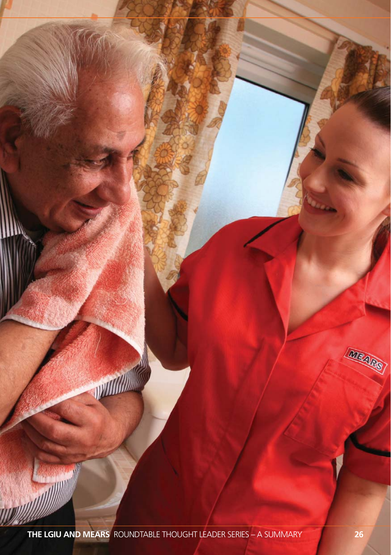**THE LGIU AND MEARS** ROUNDTABLE THOUGHT LEADER SERIES – A SUMMARY **26**

**STATES OF STRAIGHTE** 

MEARS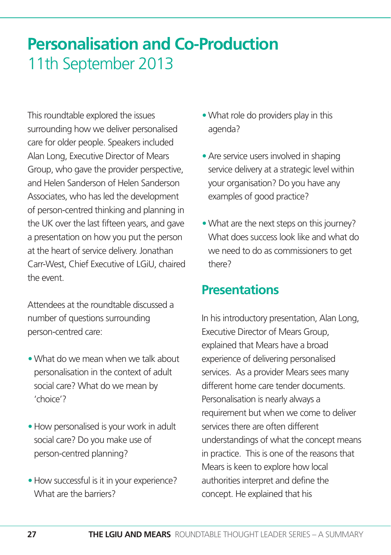# **Personalisation and Co-Production** 11th September 2013

This roundtable explored the issues surrounding how we deliver personalised care for older people. Speakers included Alan Long, Executive Director of Mears Group, who gave the provider perspective, and Helen Sanderson of Helen Sanderson Associates, who has led the development of person-centred thinking and planning in the UK over the last fifteen years, and gave a presentation on how you put the person at the heart of service delivery. Jonathan Carr-West, Chief Executive of LGiU, chaired the event.

Attendees at the roundtable discussed a number of questions surrounding person-centred care:

- What do we mean when we talk about personalisation in the context of adult social care? What do we mean by 'choice'?
- How personalised is your work in adult social care? Do you make use of person-centred planning?
- •How successful is it in your experience? What are the barriers?
- What role do providers play in this agenda?
- Are service users involved in shaping service delivery at a strategic level within your organisation? Do you have any examples of good practice?
- What are the next steps on this journey? What does success look like and what do we need to do as commissioners to get there?

# **Presentations**

In his introductory presentation, Alan Long, Executive Director of Mears Group, explained that Mears have a broad experience of delivering personalised services. As a provider Mears sees many different home care tender documents. Personalisation is nearly always a requirement but when we come to deliver services there are often different understandings of what the concept means in practice. This is one of the reasons that Mears is keen to explore how local authorities interpret and define the concept. He explained that his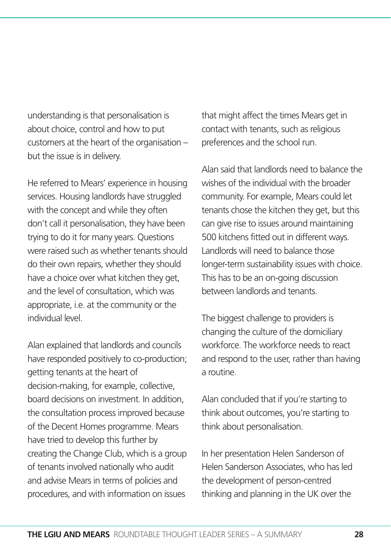understanding is that personalisation is about choice, control and how to put customers at the heart of the organisation – but the issue is in delivery.

He referred to Mears' experience in housing services. Housing landlords have struggled with the concept and while they often don't call it personalisation, they have been trying to do it for many years. Questions were raised such as whether tenants should do their own repairs, whether they should have a choice over what kitchen they get, and the level of consultation, which was appropriate, i.e. at the community or the individual level.

Alan explained that landlords and councils have responded positively to co-production; getting tenants at the heart of decision-making, for example, collective, board decisions on investment. In addition, the consultation process improved because of the Decent Homes programme. Mears have tried to develop this further by creating the Change Club, which is a group of tenants involved nationally who audit and advise Mears in terms of policies and procedures, and with information on issues

that might affect the times Mears get in contact with tenants, such as religious preferences and the school run.

Alan said that landlords need to balance the wishes of the individual with the broader community. For example, Mears could let tenants chose the kitchen they get, but this can give rise to issues around maintaining 500 kitchens fitted out in different ways. Landlords will need to balance those longer-term sustainability issues with choice. This has to be an on-going discussion between landlords and tenants.

The biggest challenge to providers is changing the culture of the domiciliary workforce. The workforce needs to react and respond to the user, rather than having a routine.

Alan concluded that if you're starting to think about outcomes, you're starting to think about personalisation.

In her presentation Helen Sanderson of Helen Sanderson Associates, who has led the development of person-centred thinking and planning in the UK over the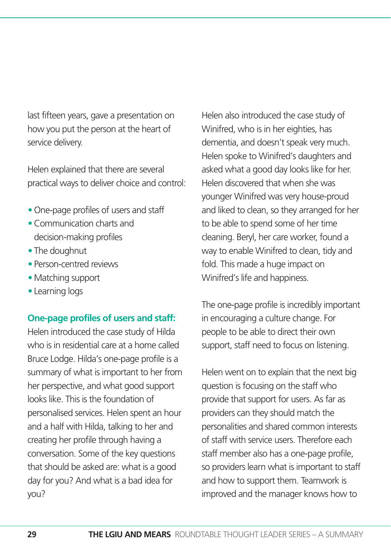last fifteen years, gave a presentation on how you put the person at the heart of service delivery.

Helen explained that there are several practical ways to deliver choice and control:

- One-page profiles of users and staff
- •Communication charts and decision-making profiles
- The doughnut
- Person-centred reviews
- Matching support
- Learning logs

## **One-page profiles of users and staff:**

Helen introduced the case study of Hilda who is in residential care at a home called Bruce Lodge. Hilda's one-page profile is a summary of what is important to her from her perspective, and what good support looks like. This is the foundation of personalised services. Helen spent an hour and a half with Hilda, talking to her and creating her profile through having a conversation. Some of the key questions that should be asked are: what is a good day for you? And what is a bad idea for you?

Helen also introduced the case study of Winifred, who is in her eighties, has dementia, and doesn't speak very much. Helen spoke to Winifred's daughters and asked what a good day looks like for her. Helen discovered that when she was younger Winifred was very house-proud and liked to clean, so they arranged for her to be able to spend some of her time cleaning. Beryl, her care worker, found a way to enable Winifred to clean, tidy and fold. This made a huge impact on Winifred's life and happiness.

The one-page profile is incredibly important in encouraging a culture change. For people to be able to direct their own support, staff need to focus on listening.

Helen went on to explain that the next big question is focusing on the staff who provide that support for users. As far as providers can they should match the personalities and shared common interests of staff with service users. Therefore each staff member also has a one-page profile, so providers learn what is important to staff and how to support them. Teamwork is improved and the manager knows how to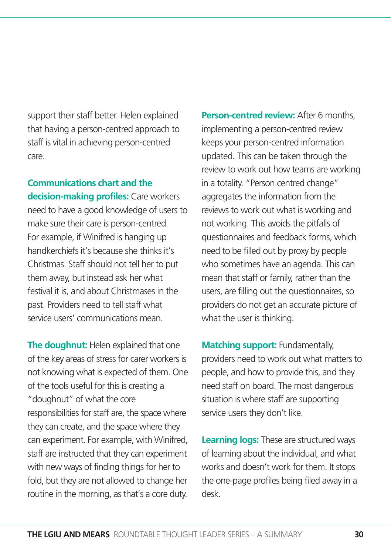support their staff better. Helen explained that having a person-centred approach to staff is vital in achieving person-centred care.

**Communications chart and the decision-making profiles:** Care workers need to have a good knowledge of users to make sure their care is person-centred. For example, if Winifred is hanging up handkerchiefs it's because she thinks it's Christmas. Staff should not tell her to put them away, but instead ask her what festival it is, and about Christmases in the past. Providers need to tell staff what service users' communications mean.

**The doughnut:** Helen explained that one of the key areas of stress for carer workers is not knowing what is expected of them. One of the tools useful for this is creating a "doughnut" of what the core responsibilities for staff are, the space where they can create, and the space where they can experiment. For example, with Winifred, staff are instructed that they can experiment with new ways of finding things for her to fold, but they are not allowed to change her routine in the morning, as that's a core duty.

**Person-centred review:** After 6 months, implementing a person-centred review keeps your person-centred information updated. This can be taken through the review to work out how teams are working in a totality. "Person centred change" aggregates the information from the reviews to work out what is working and not working. This avoids the pitfalls of questionnaires and feedback forms, which need to be filled out by proxy by people who sometimes have an agenda. This can mean that staff or family, rather than the users, are filling out the questionnaires, so providers do not get an accurate picture of what the user is thinking.

**Matching support:** Fundamentally, providers need to work out what matters to people, and how to provide this, and they need staff on board. The most dangerous situation is where staff are supporting service users they don't like.

**Learning logs:** These are structured ways of learning about the individual, and what works and doesn't work for them. It stops the one-page profiles being filed away in a desk.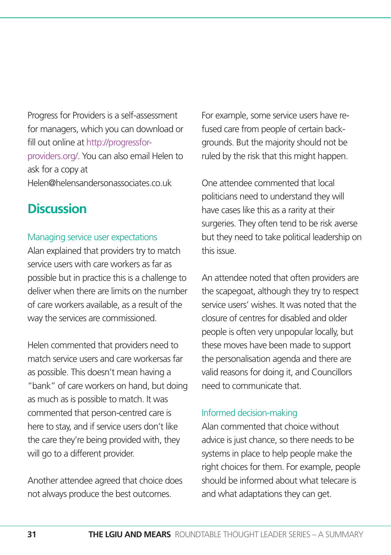Progress for Providers is a self-assessment for managers, which you can download or fill out online at [http](http://progressfor-providers.org)://progressfor[providers.org/. You can also ema](http://progressfor-providers.org)il Helen to ask for a copy at Helen@helensandersonassociates.co.uk

**Discussion**

## Managing service user expectations

Alan explained that providers try to match service users with care workers as far as possible but in practice this is a challenge to deliver when there are limits on the number of care workers available, as a result of the way the services are commissioned.

Helen commented that providers need to match service users and care workersas far as possible. This doesn't mean having a "bank" of care workers on hand, but doing as much as is possible to match. It was commented that person-centred care is here to stay, and if service users don't like the care they're being provided with, they will go to a different provider.

Another attendee agreed that choice does not always produce the best outcomes.

For example, some service users have refused care from people of certain backgrounds. But the majority should not be ruled by the risk that this might happen.

One attendee commented that local politicians need to understand they will have cases like this as a rarity at their surgeries. They often tend to be risk averse but they need to take political leadership on this issue.

An attendee noted that often providers are the scapegoat, although they try to respect service users' wishes. It was noted that the closure of centres for disabled and older people is often very unpopular locally, but these moves have been made to support the personalisation agenda and there are valid reasons for doing it, and Councillors need to communicate that.

#### Informed decision-making

Alan commented that choice without advice is just chance, so there needs to be systems in place to help people make the right choices for them. For example, people should be informed about what telecare is and what adaptations they can get.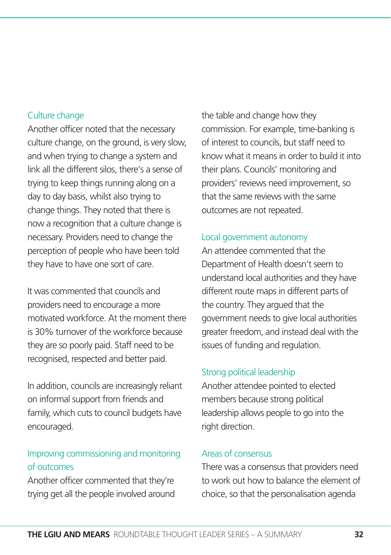### Culture change

Another officer noted that the necessary culture change, on the ground, is very slow, and when trying to change a system and link all the different silos, there's a sense of trying to keep things running along on a day to day basis, whilst also trying to change things. They noted that there is now a recognition that a culture change is necessary. Providers need to change the perception of people who have been told they have to have one sort of care.

It was commented that councils and providers need to encourage a more motivated workforce. At the moment there is 30% turnover of the workforce because they are so poorly paid. Staff need to be recognised, respected and better paid.

In addition, councils are increasingly reliant on informal support from friends and family, which cuts to council budgets have encouraged.

## Improving commissioning and monitoring of outcomes

Another officer commented that they're trying get all the people involved around the table and change how they commission. For example, time-banking is of interest to councils, but staff need to know what it means in order to build it into their plans. Councils' monitoring and providers' reviews need improvement, so that the same reviews with the same outcomes are not repeated.

## Local government autonomy

An attendee commented that the Department of Health doesn't seem to understand local authorities and they have different route maps in different parts of the country. They argued that the government needs to give local authorities greater freedom, and instead deal with the issues of funding and regulation.

### Strong political leadership

Another attendee pointed to elected members because strong political leadership allows people to go into the right direction.

### Areas of consensus

There was a consensus that providers need to work out how to balance the element of choice, so that the personalisation agenda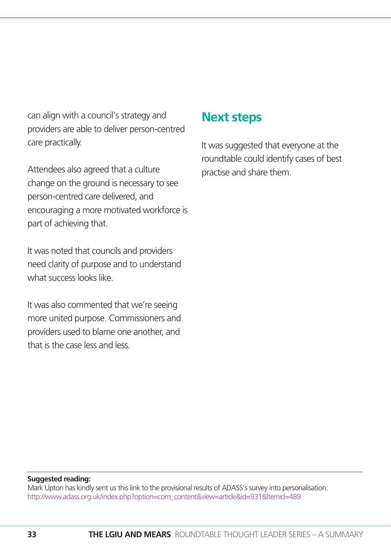can align with a council's strategy and providers are able to deliver person-centred care practically.

Attendees also agreed that a culture change on the ground is necessary to see person-centred care delivered, and encouraging a more motivated workforce is part of achieving that.

It was noted that councils and providers need clarity of purpose and to understand what success looks like.

It was also commented that we're seeing more united purpose. Commissioners and providers used to blame one another, and that is the case less and less.

# **Next steps**

It was suggested that everyone at the roundtable could identify cases of best practise and share them.

#### **Suggested reading:**

Mark Upton has kindly sent us this link to the provisional results of ADASS's survey into personalisation. [http://www.adass.org.uk/index.php?option=com\\_content&view=article&id=931&Itemid=489](http://www.adass.org.uk/index.php?option=com_content&view=article&id=931&Itemid=489)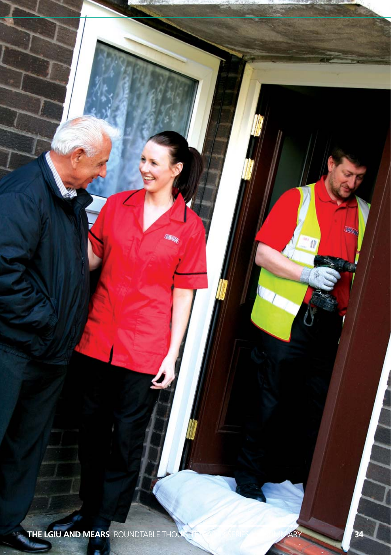THE LGIU AND MEARS ROUNDTABLE THOUGHT LEADER SERIES **ARY 134** 34

**COLORADO** 

**ME**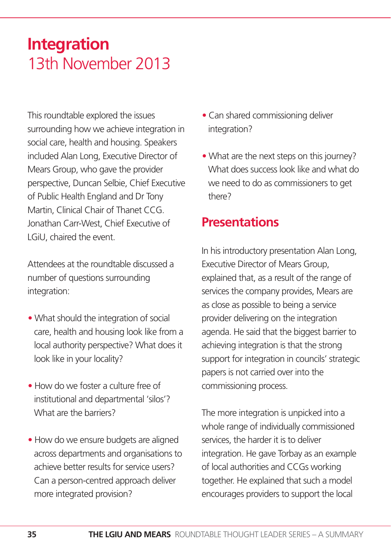# **Integration** 13th November 2013

This roundtable explored the issues surrounding how we achieve integration in social care, health and housing. Speakers included Alan Long, Executive Director of Mears Group, who gave the provider perspective, Duncan Selbie, Chief Executive of Public Health England and Dr Tony Martin, Clinical Chair of Thanet CCG. Jonathan Carr-West, Chief Executive of LGiU, chaired the event.

Attendees at the roundtable discussed a number of questions surrounding integration:

- What should the integration of social care, health and housing look like from a local authority perspective? What does it look like in your locality?
- How do we foster a culture free of institutional and departmental 'silos'? What are the barriers?
- How do we ensure budgets are aligned across departments and organisations to achieve better results for service users? Can a person-centred approach deliver more integrated provision?
- Can shared commissioning deliver integration?
- What are the next steps on this journey? What does success look like and what do we need to do as commissioners to get there?

## **Presentations**

In his introductory presentation Alan Long, Executive Director of Mears Group, explained that, as a result of the range of services the company provides, Mears are as close as possible to being a service provider delivering on the integration agenda. He said that the biggest barrier to achieving integration is that the strong support for integration in councils' strategic papers is not carried over into the commissioning process.

The more integration is unpicked into a whole range of individually commissioned services, the harder it is to deliver integration. He gave Torbay as an example of local authorities and CCGs working together. He explained that such a model encourages providers to support the local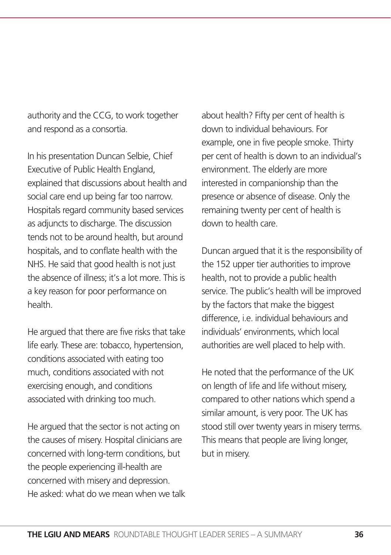authority and the CCG, to work together and respond as a consortia.

In his presentation Duncan Selbie, Chief Executive of Public Health England, explained that discussions about health and social care end up being far too narrow. Hospitals regard community based services as adjuncts to discharge. The discussion tends not to be around health, but around hospitals, and to conflate health with the NHS. He said that good health is not just the absence of illness; it's a lot more. This is a key reason for poor performance on health.

He argued that there are five risks that take life early. These are: tobacco, hypertension, conditions associated with eating too much, conditions associated with not exercising enough, and conditions associated with drinking too much.

He argued that the sector is not acting on the causes of misery. Hospital clinicians are concerned with long-term conditions, but the people experiencing ill-health are concerned with misery and depression. He asked: what do we mean when we talk about health? Fifty per cent of health is down to individual behaviours. For example, one in five people smoke. Thirty per cent of health is down to an individual's environment. The elderly are more interested in companionship than the presence or absence of disease. Only the remaining twenty per cent of health is down to health care.

Duncan argued that it is the responsibility of the 152 upper tier authorities to improve health, not to provide a public health service. The public's health will be improved by the factors that make the biggest difference, i.e. individual behaviours and individuals' environments, which local authorities are well placed to help with.

He noted that the performance of the UK on length of life and life without misery, compared to other nations which spend a similar amount, is very poor. The UK has stood still over twenty years in misery terms. This means that people are living longer, but in misery.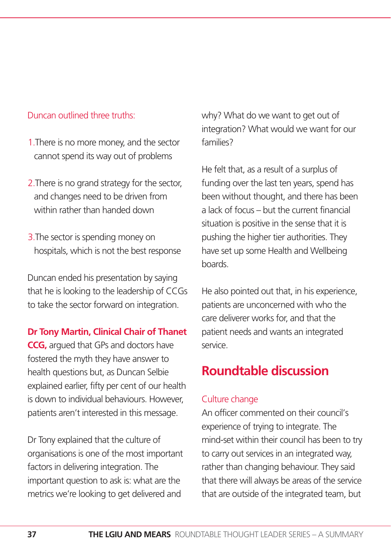#### Duncan outlined three truths:

- 1.There is no more money, and the sector cannot spend its way out of problems
- 2. There is no grand strategy for the sector. and changes need to be driven from within rather than handed down
- 3.The sector is spending money on hospitals, which is not the best response

Duncan ended his presentation by saying that he is looking to the leadership of CCGs to take the sector forward on integration.

### **Dr Tony Martin, Clinical Chair of Thanet**

**CCG,** argued that GPs and doctors have fostered the myth they have answer to health questions but, as Duncan Selbie explained earlier, fifty per cent of our health is down to individual behaviours. However, patients aren't interested in this message.

Dr Tony explained that the culture of organisations is one of the most important factors in delivering integration. The important question to ask is: what are the metrics we're looking to get delivered and

why? What do we want to get out of integration? What would we want for our families?

He felt that, as a result of a surplus of funding over the last ten years, spend has been without thought, and there has been a lack of focus – but the current financial situation is positive in the sense that it is pushing the higher tier authorities. They have set up some Health and Wellbeing boards.

He also pointed out that, in his experience, patients are unconcerned with who the care deliverer works for, and that the patient needs and wants an integrated service.

# **Roundtable discussion**

### Culture change

An officer commented on their council's experience of trying to integrate. The mind-set within their council has been to try to carry out services in an integrated way, rather than changing behaviour. They said that there will always be areas of the service that are outside of the integrated team, but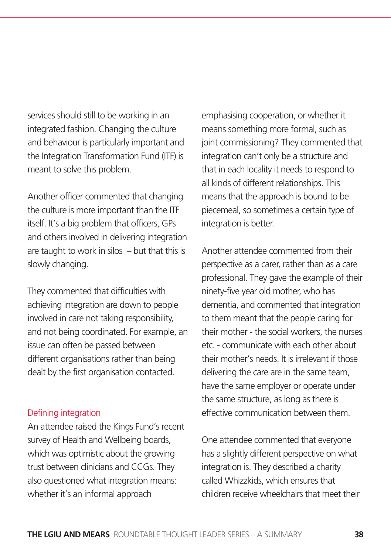services should still to be working in an integrated fashion. Changing the culture and behaviour is particularly important and the Integration Transformation Fund (ITF) is meant to solve this problem.

Another officer commented that changing the culture is more important than the ITF itself. It's a big problem that officers, GPs and others involved in delivering integration are taught to work in silos – but that this is slowly changing.

They commented that difficulties with achieving integration are down to people involved in care not taking responsibility, and not being coordinated. For example, an issue can often be passed between different organisations rather than being dealt by the first organisation contacted.

### Defining integration

An attendee raised the Kings Fund's recent survey of Health and Wellbeing boards, which was optimistic about the growing trust between clinicians and CCGs. They also questioned what integration means: whether it's an informal approach

emphasising cooperation, or whether it means something more formal, such as joint commissioning? They commented that integration can't only be a structure and that in each locality it needs to respond to all kinds of different relationships. This means that the approach is bound to be piecemeal, so sometimes a certain type of integration is better.

Another attendee commented from their perspective as a carer, rather than as a care professional. They gave the example of their ninety-five year old mother, who has dementia, and commented that integration to them meant that the people caring for their mother - the social workers, the nurses etc. - communicate with each other about their mother's needs. It is irrelevant if those delivering the care are in the same team, have the same employer or operate under the same structure, as long as there is effective communication between them.

One attendee commented that everyone has a slightly different perspective on what integration is. They described a charity called Whizzkids, which ensures that children receive wheelchairs that meet their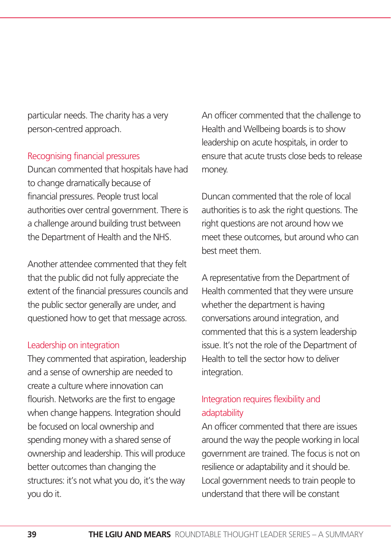particular needs. The charity has a very person-centred approach.

#### Recognising financial pressures

Duncan commented that hospitals have had to change dramatically because of financial pressures. People trust local authorities over central government. There is a challenge around building trust between the Department of Health and the NHS.

Another attendee commented that they felt that the public did not fully appreciate the extent of the financial pressures councils and the public sector generally are under, and questioned how to get that message across.

### Leadership on integration

They commented that aspiration, leadership and a sense of ownership are needed to create a culture where innovation can flourish. Networks are the first to engage when change happens. Integration should be focused on local ownership and spending money with a shared sense of ownership and leadership. This will produce better outcomes than changing the structures: it's not what you do, it's the way you do it.

An officer commented that the challenge to Health and Wellbeing boards is to show leadership on acute hospitals, in order to ensure that acute trusts close beds to release money.

Duncan commented that the role of local authorities is to ask the right questions. The right questions are not around how we meet these outcomes, but around who can best meet them.

A representative from the Department of Health commented that they were unsure whether the department is having conversations around integration, and commented that this is a system leadership issue. It's not the role of the Department of Health to tell the sector how to deliver integration.

## Integration requires flexibility and adaptability

An officer commented that there are issues around the way the people working in local government are trained. The focus is not on resilience or adaptability and it should be. Local government needs to train people to understand that there will be constant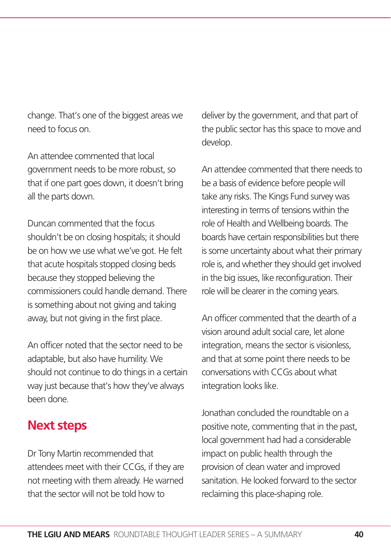change. That's one of the biggest areas we need to focus on.

An attendee commented that local government needs to be more robust, so that if one part goes down, it doesn't bring all the parts down.

Duncan commented that the focus shouldn't be on closing hospitals; it should be on how we use what we've got. He felt that acute hospitals stopped closing beds because they stopped believing the commissioners could handle demand. There is something about not giving and taking away, but not giving in the first place.

An officer noted that the sector need to be adaptable, but also have humility. We should not continue to do things in a certain way just because that's how they've always been done.

# **Next steps**

Dr Tony Martin recommended that attendees meet with their CCGs, if they are not meeting with them already. He warned that the sector will not be told how to

deliver by the government, and that part of the public sector has this space to move and develop.

An attendee commented that there needs to be a basis of evidence before people will take any risks. The Kings Fund survey was interesting in terms of tensions within the role of Health and Wellbeing boards. The boards have certain responsibilities but there is some uncertainty about what their primary role is, and whether they should get involved in the big issues, like reconfiguration. Their role will be clearer in the coming years.

An officer commented that the dearth of a vision around adult social care, let alone integration, means the sector is visionless, and that at some point there needs to be conversations with CCGs about what integration looks like.

Jonathan concluded the roundtable on a positive note, commenting that in the past, local government had had a considerable impact on public health through the provision of clean water and improved sanitation. He looked forward to the sector reclaiming this place-shaping role.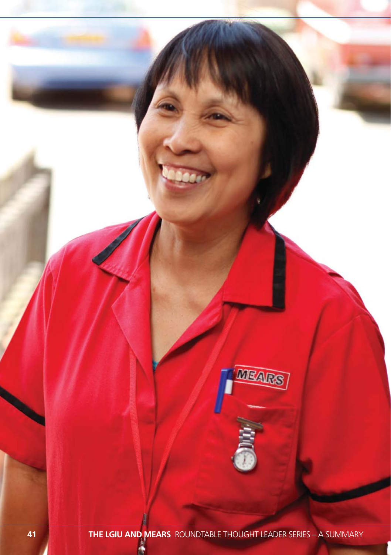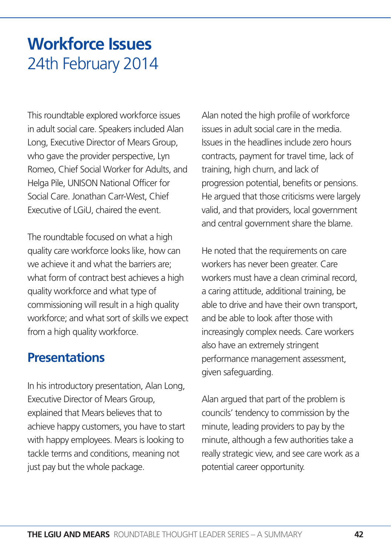# **Workforce Issues** 24th February 2014

This roundtable explored workforce issues in adult social care. Speakers included Alan Long, Executive Director of Mears Group, who gave the provider perspective, Lyn Romeo, Chief Social Worker for Adults, and Helga Pile, UNISON National Officer for Social Care. Jonathan Carr-West, Chief Executive of LGiU, chaired the event.

The roundtable focused on what a high quality care workforce looks like, how can we achieve it and what the barriers are; what form of contract best achieves a high quality workforce and what type of commissioning will result in a high quality workforce; and what sort of skills we expect from a high quality workforce.

# **Presentations**

In his introductory presentation, Alan Long, Executive Director of Mears Group, explained that Mears believes that to achieve happy customers, you have to start with happy employees. Mears is looking to tackle terms and conditions, meaning not just pay but the whole package.

Alan noted the high profile of workforce issues in adult social care in the media. Issues in the headlines include zero hours contracts, payment for travel time, lack of training, high churn, and lack of progression potential, benefits or pensions. He argued that those criticisms were largely valid, and that providers, local government and central government share the blame.

He noted that the requirements on care workers has never been greater. Care workers must have a clean criminal record, a caring attitude, additional training, be able to drive and have their own transport, and be able to look after those with increasingly complex needs. Care workers also have an extremely stringent performance management assessment, given safeguarding.

Alan argued that part of the problem is councils' tendency to commission by the minute, leading providers to pay by the minute, although a few authorities take a really strategic view, and see care work as a potential career opportunity.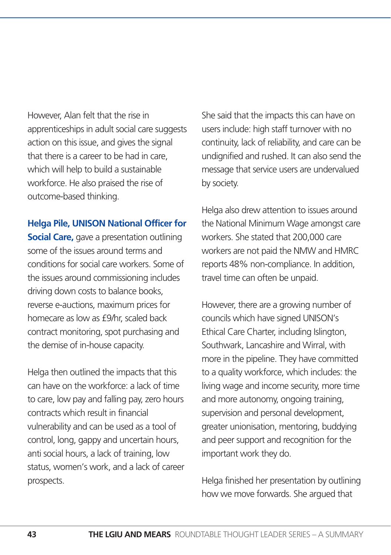However, Alan felt that the rise in apprenticeships in adult social care suggests action on this issue, and gives the signal that there is a career to be had in care, which will help to build a sustainable workforce. He also praised the rise of outcome-based thinking.

**Helga Pile, UNISON National Officer for**

**Social Care,** gave a presentation outlining some of the issues around terms and conditions for social care workers. Some of the issues around commissioning includes driving down costs to balance books, reverse e-auctions, maximum prices for homecare as low as £9/hr, scaled back contract monitoring, spot purchasing and the demise of in-house capacity.

Helga then outlined the impacts that this can have on the workforce: a lack of time to care, low pay and falling pay, zero hours contracts which result in financial vulnerability and can be used as a tool of control, long, gappy and uncertain hours, anti social hours, a lack of training, low status, women's work, and a lack of career prospects.

She said that the impacts this can have on users include: high staff turnover with no continuity, lack of reliability, and care can be undignified and rushed. It can also send the message that service users are undervalued by society.

Helga also drew attention to issues around the National Minimum Wage amongst care workers. She stated that 200,000 care workers are not paid the NMW and HMRC reports 48% non-compliance. In addition, travel time can often be unpaid.

However, there are a growing number of councils which have signed UNISON's Ethical Care Charter, including Islington, Southwark, Lancashire and Wirral, with more in the pipeline. They have committed to a quality workforce, which includes: the living wage and income security, more time and more autonomy, ongoing training, supervision and personal development, greater unionisation, mentoring, buddying and peer support and recognition for the important work they do.

Helga finished her presentation by outlining how we move forwards. She argued that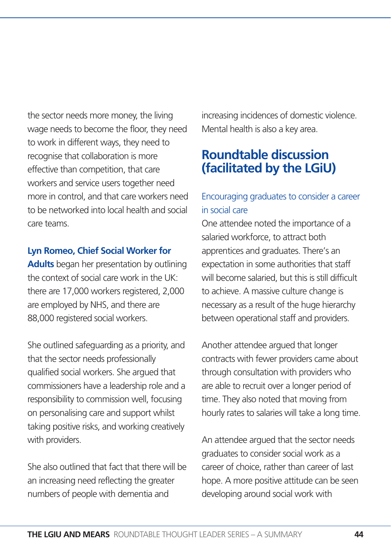the sector needs more money, the living wage needs to become the floor, they need to work in different ways, they need to recognise that collaboration is more effective than competition, that care workers and service users together need more in control, and that care workers need to be networked into local health and social care teams.

## **Lyn Romeo, Chief Social Worker for**

**Adults** began her presentation by outlining the context of social care work in the UK: there are 17,000 workers registered, 2,000 are employed by NHS, and there are 88,000 registered social workers.

She outlined safeguarding as a priority, and that the sector needs professionally qualified social workers. She argued that commissioners have a leadership role and a responsibility to commission well, focusing on personalising care and support whilst taking positive risks, and working creatively with providers.

She also outlined that fact that there will be an increasing need reflecting the greater numbers of people with dementia and

increasing incidences of domestic violence. Mental health is also a key area.

# **Roundtable discussion (facilitated by the LGiU)**

## Encouraging graduates to consider a career in social care

One attendee noted the importance of a salaried workforce, to attract both apprentices and graduates. There's an expectation in some authorities that staff will become salaried, but this is still difficult to achieve. A massive culture change is necessary as a result of the huge hierarchy between operational staff and providers.

Another attendee argued that longer contracts with fewer providers came about through consultation with providers who are able to recruit over a longer period of time. They also noted that moving from hourly rates to salaries will take a long time.

An attendee argued that the sector needs graduates to consider social work as a career of choice, rather than career of last hope. A more positive attitude can be seen developing around social work with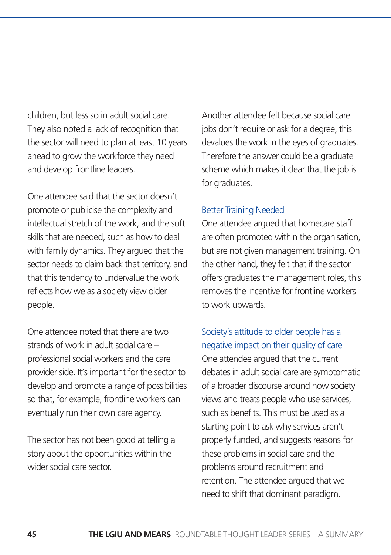children, but less so in adult social care. They also noted a lack of recognition that the sector will need to plan at least 10 years ahead to grow the workforce they need and develop frontline leaders.

One attendee said that the sector doesn't promote or publicise the complexity and intellectual stretch of the work, and the soft skills that are needed, such as how to deal with family dynamics. They argued that the sector needs to claim back that territory, and that this tendency to undervalue the work reflects how we as a society view older people.

One attendee noted that there are two strands of work in adult social care – professional social workers and the care provider side. It's important for the sector to develop and promote a range of possibilities so that, for example, frontline workers can eventually run their own care agency.

The sector has not been good at telling a story about the opportunities within the wider social care sector.

Another attendee felt because social care jobs don't require or ask for a degree, this devalues the work in the eyes of graduates. Therefore the answer could be a graduate scheme which makes it clear that the job is for graduates.

### Better Training Needed

One attendee argued that homecare staff are often promoted within the organisation, but are not given management training. On the other hand, they felt that if the sector offers graduates the management roles, this removes the incentive for frontline workers to work upwards.

Society's attitude to older people has a negative impact on their quality of care One attendee argued that the current debates in adult social care are symptomatic of a broader discourse around how society views and treats people who use services, such as benefits. This must be used as a starting point to ask why services aren't properly funded, and suggests reasons for these problems in social care and the problems around recruitment and retention. The attendee argued that we need to shift that dominant paradigm.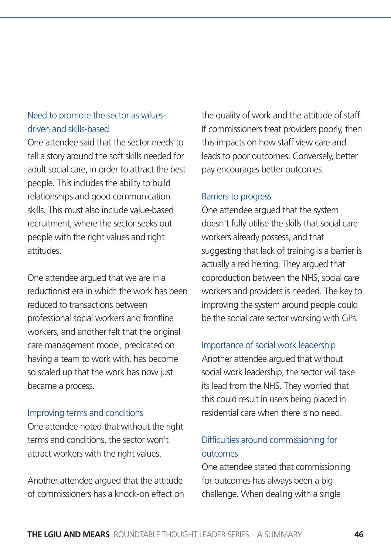## Need to promote the sector as valuesdriven and skills-based

One attendee said that the sector needs to tell a story around the soft skills needed for adult social care, in order to attract the best people. This includes the ability to build relationships and good communication skills. This must also include value-based recruitment, where the sector seeks out people with the right values and right attitudes.

One attendee argued that we are in a reductionist era in which the work has been reduced to transactions between professional social workers and frontline workers, and another felt that the original care management model, predicated on having a team to work with, has become so scaled up that the work has now just became a process.

### Improving terms and conditions

One attendee noted that without the right terms and conditions, the sector won't attract workers with the right values.

Another attendee argued that the attitude of commissioners has a knock-on effect on the quality of work and the attitude of staff. If commissioners treat providers poorly, then this impacts on how staff view care and leads to poor outcomes. Conversely, better pay encourages better outcomes.

#### Barriers to progress

One attendee argued that the system doesn't fully utilise the skills that social care workers already possess, and that suggesting that lack of training is a barrier is actually a red herring. They argued that coproduction between the NHS, social care workers and providers is needed. The key to improving the system around people could be the social care sector working with GPs.

### Importance of social work leadership

Another attendee argued that without social work leadership, the sector will take its lead from the NHS. They worried that this could result in users being placed in residential care when there is no need.

## Difficulties around commissioning for outcomes

One attendee stated that commissioning for outcomes has always been a big challenge. When dealing with a single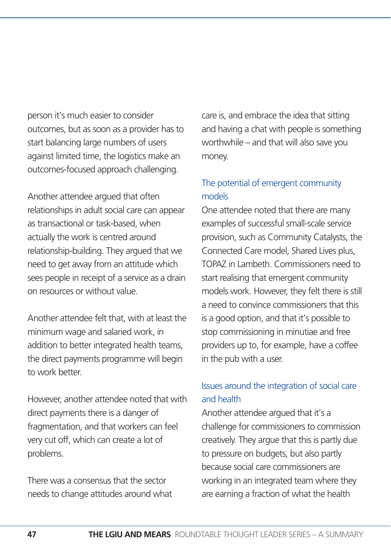person it's much easier to consider outcomes, but as soon as a provider has to start balancing large numbers of users against limited time, the logistics make an outcomes-focused approach challenging.

Another attendee argued that often relationships in adult social care can appear as transactional or task-based, when actually the work is centred around relationship-building. They argued that we need to get away from an attitude which sees people in receipt of a service as a drain on resources or without value.

Another attendee felt that, with at least the minimum wage and salaried work, in addition to better integrated health teams, the direct payments programme will begin to work better.

However, another attendee noted that with direct payments there is a danger of fragmentation, and that workers can feel very cut off, which can create a lot of problems.

There was a consensus that the sector needs to change attitudes around what care is, and embrace the idea that sitting and having a chat with people is something worthwhile – and that will also save you money.

## The potential of emergent community models

One attendee noted that there are many examples of successful small-scale service provision, such as Community Catalysts, the Connected Care model, Shared Lives plus, TOPAZ in Lambeth. Commissioners need to start realising that emergent community models work. However, they felt there is still a need to convince commissioners that this is a good option, and that it's possible to stop commissioning in minutiae and free providers up to, for example, have a coffee in the pub with a user.

## Issues around the integration of social care and health

Another attendee argued that it's a challenge for commissioners to commission creatively. They argue that this is partly due to pressure on budgets, but also partly because social care commissioners are working in an integrated team where they are earning a fraction of what the health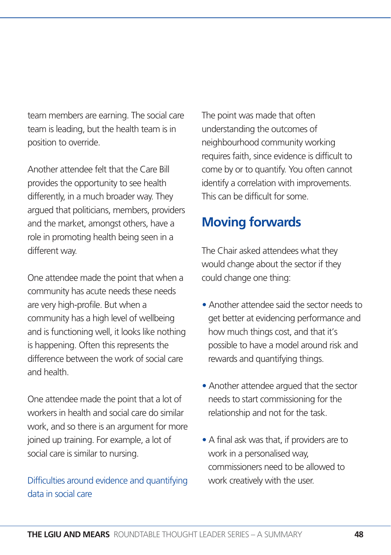team members are earning. The social care team is leading, but the health team is in position to override.

Another attendee felt that the Care Bill provides the opportunity to see health differently, in a much broader way. They argued that politicians, members, providers and the market, amongst others, have a role in promoting health being seen in a different way.

One attendee made the point that when a community has acute needs these needs are very high-profile. But when a community has a high level of wellbeing and is functioning well, it looks like nothing is happening. Often this represents the difference between the work of social care and health.

One attendee made the point that a lot of workers in health and social care do similar work, and so there is an argument for more joined up training. For example, a lot of social care is similar to nursing.

## Difficulties around evidence and quantifying data in social care

The point was made that often understanding the outcomes of neighbourhood community working requires faith, since evidence is difficult to come by or to quantify. You often cannot identify a correlation with improvements. This can be difficult for some.

# **Moving forwards**

The Chair asked attendees what they would change about the sector if they could change one thing:

- Another attendee said the sector needs to get better at evidencing performance and how much things cost, and that it's possible to have a model around risk and rewards and quantifying things.
- Another attendee argued that the sector needs to start commissioning for the relationship and not for the task.
- A final ask was that, if providers are to work in a personalised way, commissioners need to be allowed to work creatively with the user.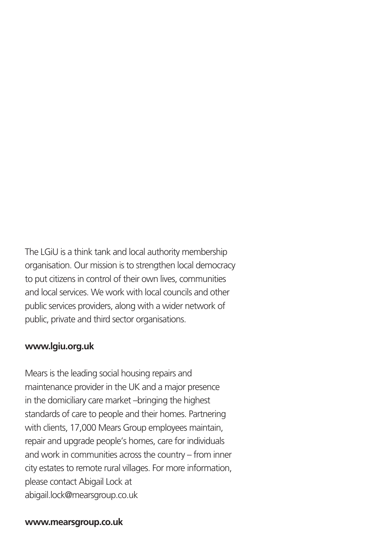The LGiU is a think tank and local authority membership organisation. Our mission is to strengthen local democracy to put citizens in control of their own lives, communities and local services. We work with local councils and other public services providers, along with a wider network of public, private and third sector organisations.

### **[www.lgiu.org.uk](http://www.lgiu.org.uk)**

Mears is the leading social housing repairs and maintenance provider in the UK and a major presence in the domiciliary care market –bringing the highest standards of care to people and their homes. Partnering with clients, 17,000 Mears Group employees maintain, repair and upgrade people's homes, care for individuals and work in communities across the country – from inner city estates to remote rural villages. For more information, please contact Abigail Lock at abigail[.lock@mearsgroup.co.uk](mailto:lock@mearsgroup.co.uk) 

#### **[www.mearsgroup.co.uk](http://www.mearsgroup.co.uk)**